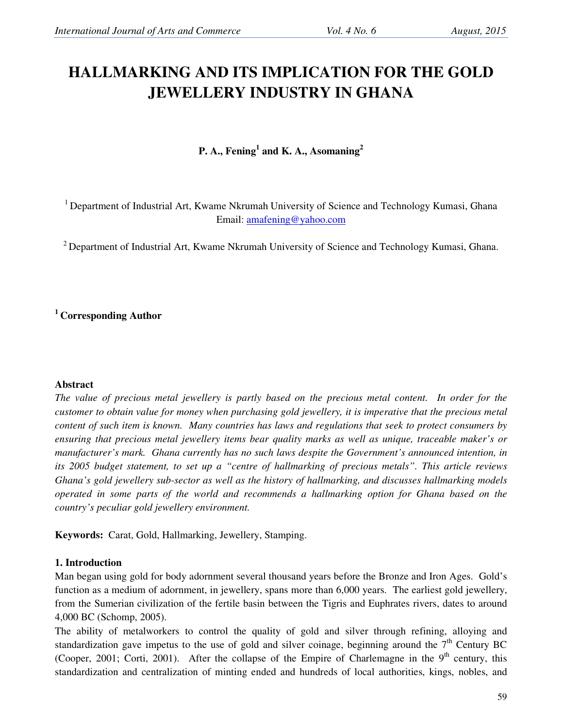# **HALLMARKING AND ITS IMPLICATION FOR THE GOLD JEWELLERY INDUSTRY IN GHANA**

**P. A., Fening<sup>1</sup> and K. A., Asomaning<sup>2</sup>**

<sup>1</sup> Department of Industrial Art, Kwame Nkrumah University of Science and Technology Kumasi, Ghana Email: amafening@yahoo.com

<sup>2</sup> Department of Industrial Art, Kwame Nkrumah University of Science and Technology Kumasi, Ghana.

# **<sup>1</sup>Corresponding Author**

## **Abstract**

*The value of precious metal jewellery is partly based on the precious metal content. In order for the customer to obtain value for money when purchasing gold jewellery, it is imperative that the precious metal content of such item is known. Many countries has laws and regulations that seek to protect consumers by ensuring that precious metal jewellery items bear quality marks as well as unique, traceable maker's or manufacturer's mark. Ghana currently has no such laws despite the Government's announced intention, in its 2005 budget statement, to set up a "centre of hallmarking of precious metals". This article reviews Ghana's gold jewellery sub-sector as well as the history of hallmarking, and discusses hallmarking models operated in some parts of the world and recommends a hallmarking option for Ghana based on the country's peculiar gold jewellery environment.* 

**Keywords:** Carat, Gold, Hallmarking, Jewellery, Stamping.

## **1. Introduction**

Man began using gold for body adornment several thousand years before the Bronze and Iron Ages. Gold's function as a medium of adornment, in jewellery, spans more than 6,000 years. The earliest gold jewellery, from the Sumerian civilization of the fertile basin between the Tigris and Euphrates rivers, dates to around 4,000 BC (Schomp, 2005).

The ability of metalworkers to control the quality of gold and silver through refining, alloying and standardization gave impetus to the use of gold and silver coinage, beginning around the 7<sup>th</sup> Century BC (Cooper, 2001; Corti, 2001). After the collapse of the Empire of Charlemagne in the  $9<sup>th</sup>$  century, this standardization and centralization of minting ended and hundreds of local authorities, kings, nobles, and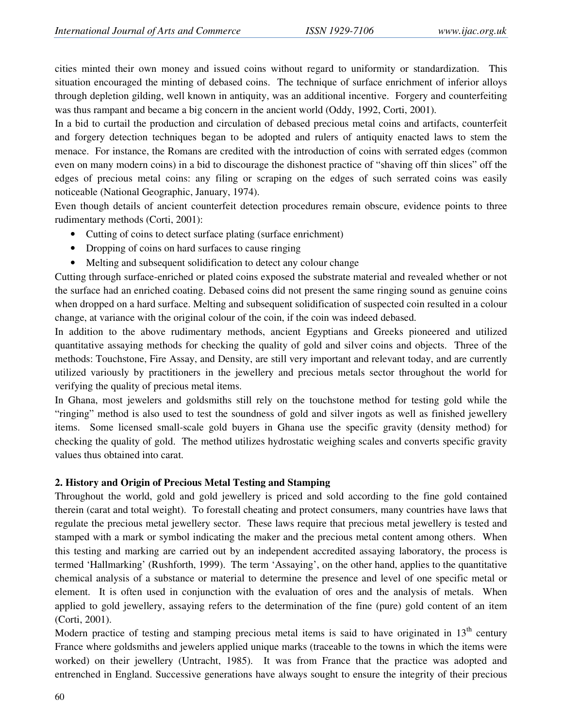cities minted their own money and issued coins without regard to uniformity or standardization. This situation encouraged the minting of debased coins. The technique of surface enrichment of inferior alloys through depletion gilding, well known in antiquity, was an additional incentive. Forgery and counterfeiting was thus rampant and became a big concern in the ancient world (Oddy, 1992, Corti, 2001).

In a bid to curtail the production and circulation of debased precious metal coins and artifacts, counterfeit and forgery detection techniques began to be adopted and rulers of antiquity enacted laws to stem the menace. For instance, the Romans are credited with the introduction of coins with serrated edges (common even on many modern coins) in a bid to discourage the dishonest practice of "shaving off thin slices" off the edges of precious metal coins: any filing or scraping on the edges of such serrated coins was easily noticeable (National Geographic, January, 1974).

Even though details of ancient counterfeit detection procedures remain obscure, evidence points to three rudimentary methods (Corti, 2001):

- Cutting of coins to detect surface plating (surface enrichment)
- Dropping of coins on hard surfaces to cause ringing
- Melting and subsequent solidification to detect any colour change

Cutting through surface-enriched or plated coins exposed the substrate material and revealed whether or not the surface had an enriched coating. Debased coins did not present the same ringing sound as genuine coins when dropped on a hard surface. Melting and subsequent solidification of suspected coin resulted in a colour change, at variance with the original colour of the coin, if the coin was indeed debased.

In addition to the above rudimentary methods, ancient Egyptians and Greeks pioneered and utilized quantitative assaying methods for checking the quality of gold and silver coins and objects. Three of the methods: Touchstone, Fire Assay, and Density, are still very important and relevant today, and are currently utilized variously by practitioners in the jewellery and precious metals sector throughout the world for verifying the quality of precious metal items.

In Ghana, most jewelers and goldsmiths still rely on the touchstone method for testing gold while the "ringing" method is also used to test the soundness of gold and silver ingots as well as finished jewellery items. Some licensed small-scale gold buyers in Ghana use the specific gravity (density method) for checking the quality of gold. The method utilizes hydrostatic weighing scales and converts specific gravity values thus obtained into carat.

## **2. History and Origin of Precious Metal Testing and Stamping**

Throughout the world, gold and gold jewellery is priced and sold according to the fine gold contained therein (carat and total weight). To forestall cheating and protect consumers, many countries have laws that regulate the precious metal jewellery sector. These laws require that precious metal jewellery is tested and stamped with a mark or symbol indicating the maker and the precious metal content among others. When this testing and marking are carried out by an independent accredited assaying laboratory, the process is termed 'Hallmarking' (Rushforth, 1999). The term 'Assaying', on the other hand, applies to the quantitative chemical analysis of a substance or material to determine the presence and level of one specific metal or element. It is often used in conjunction with the evaluation of ores and the analysis of metals. When applied to gold jewellery, assaying refers to the determination of the fine (pure) gold content of an item (Corti, 2001).

Modern practice of testing and stamping precious metal items is said to have originated in  $13<sup>th</sup>$  century France where goldsmiths and jewelers applied unique marks (traceable to the towns in which the items were worked) on their jewellery (Untracht, 1985). It was from France that the practice was adopted and entrenched in England. Successive generations have always sought to ensure the integrity of their precious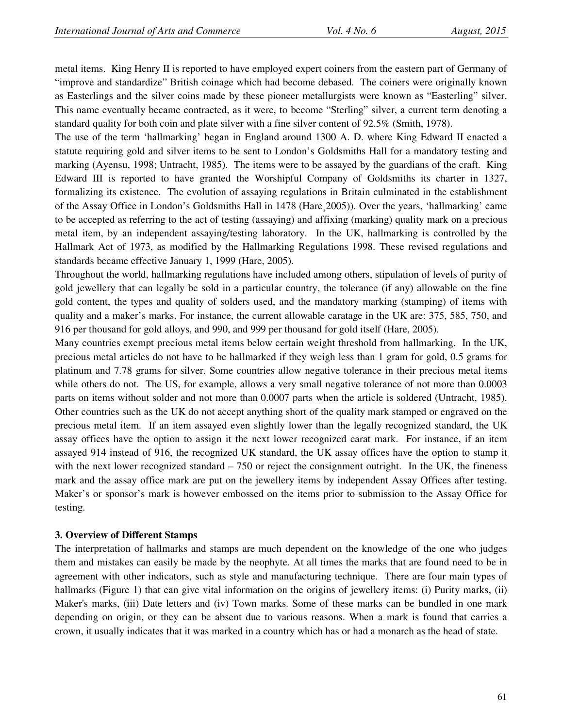metal items. King Henry II is reported to have employed expert coiners from the eastern part of Germany of "improve and standardize" British coinage which had become debased. The coiners were originally known as Easterlings and the silver coins made by these pioneer metallurgists were known as "Easterling" silver. This name eventually became contracted, as it were, to become "Sterling" silver, a current term denoting a standard quality for both coin and plate silver with a fine silver content of 92.5% (Smith, 1978).

The use of the term 'hallmarking' began in England around 1300 A. D. where King Edward II enacted a statute requiring gold and silver items to be sent to London's Goldsmiths Hall for a mandatory testing and marking (Ayensu, 1998; Untracht, 1985). The items were to be assayed by the guardians of the craft. King Edward III is reported to have granted the Worshipful Company of Goldsmiths its charter in 1327, formalizing its existence. The evolution of assaying regulations in Britain culminated in the establishment of the Assay Office in London's Goldsmiths Hall in 1478 (Hare¸2005)). Over the years, 'hallmarking' came to be accepted as referring to the act of testing (assaying) and affixing (marking) quality mark on a precious metal item, by an independent assaying/testing laboratory. In the UK, hallmarking is controlled by the Hallmark Act of 1973, as modified by the Hallmarking Regulations 1998. These revised regulations and standards became effective January 1, 1999 (Hare, 2005).

Throughout the world, hallmarking regulations have included among others, stipulation of levels of purity of gold jewellery that can legally be sold in a particular country, the tolerance (if any) allowable on the fine gold content, the types and quality of solders used, and the mandatory marking (stamping) of items with quality and a maker's marks. For instance, the current allowable caratage in the UK are: 375, 585, 750, and 916 per thousand for gold alloys, and 990, and 999 per thousand for gold itself (Hare, 2005).

Many countries exempt precious metal items below certain weight threshold from hallmarking. In the UK, precious metal articles do not have to be hallmarked if they weigh less than 1 gram for gold, 0.5 grams for platinum and 7.78 grams for silver. Some countries allow negative tolerance in their precious metal items while others do not. The US, for example, allows a very small negative tolerance of not more than 0.0003 parts on items without solder and not more than 0.0007 parts when the article is soldered (Untracht, 1985). Other countries such as the UK do not accept anything short of the quality mark stamped or engraved on the precious metal item. If an item assayed even slightly lower than the legally recognized standard, the UK assay offices have the option to assign it the next lower recognized carat mark. For instance, if an item assayed 914 instead of 916, the recognized UK standard, the UK assay offices have the option to stamp it with the next lower recognized standard – 750 or reject the consignment outright. In the UK, the fineness mark and the assay office mark are put on the jewellery items by independent Assay Offices after testing. Maker's or sponsor's mark is however embossed on the items prior to submission to the Assay Office for testing.

## **3. Overview of Different Stamps**

The interpretation of hallmarks and stamps are much dependent on the knowledge of the one who judges them and mistakes can easily be made by the neophyte. At all times the marks that are found need to be in agreement with other indicators, such as style and manufacturing technique. There are four main types of hallmarks (Figure 1) that can give vital information on the origins of jewellery items: (i) Purity marks, (ii) Maker's marks, (iii) Date letters and (iv) Town marks. Some of these marks can be bundled in one mark depending on origin, or they can be absent due to various reasons. When a mark is found that carries a crown, it usually indicates that it was marked in a country which has or had a monarch as the head of state.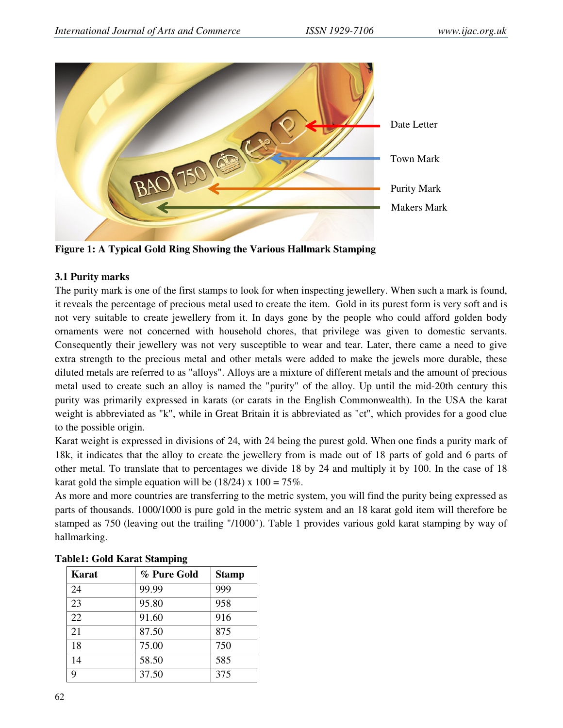

**Figure 1: A Typical Gold Ring Showing the Various Hallmark Stamping** 

## **3.1 Purity marks**

The purity mark is one of the first stamps to look for when inspecting jewellery. When such a mark is found, it reveals the percentage of precious metal used to create the item. Gold in its purest form is very soft and is not very suitable to create jewellery from it. In days gone by the people who could afford golden body ornaments were not concerned with household chores, that privilege was given to domestic servants. Consequently their jewellery was not very susceptible to wear and tear. Later, there came a need to give extra strength to the precious metal and other metals were added to make the jewels more durable, these diluted metals are referred to as "alloys". Alloys are a mixture of different metals and the amount of precious metal used to create such an alloy is named the "purity" of the alloy. Up until the mid-20th century this purity was primarily expressed in karats (or carats in the English Commonwealth). In the USA the karat weight is abbreviated as "k", while in Great Britain it is abbreviated as "ct", which provides for a good clue to the possible origin.

Karat weight is expressed in divisions of 24, with 24 being the purest gold. When one finds a purity mark of 18k, it indicates that the alloy to create the jewellery from is made out of 18 parts of gold and 6 parts of other metal. To translate that to percentages we divide 18 by 24 and multiply it by 100. In the case of 18 karat gold the simple equation will be  $(18/24)$  x  $100 = 75\%$ .

As more and more countries are transferring to the metric system, you will find the purity being expressed as parts of thousands. 1000/1000 is pure gold in the metric system and an 18 karat gold item will therefore be stamped as 750 (leaving out the trailing "/1000"). Table 1 provides various gold karat stamping by way of hallmarking.

| <b>Karat</b> | % Pure Gold | <b>Stamp</b> |
|--------------|-------------|--------------|
| 24           | 99.99       | 999          |
| 23           | 95.80       | 958          |
| 22           | 91.60       | 916          |
| 21           | 87.50       | 875          |
| 18           | 75.00       | 750          |
| 14           | 58.50       | 585          |
| 9            | 37.50       | 375          |

**Table1: Gold Karat Stamping**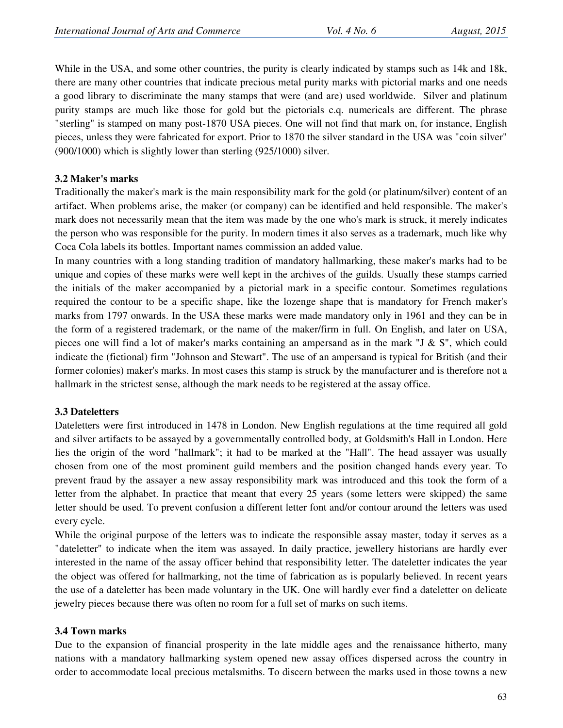While in the USA, and some other countries, the purity is clearly indicated by stamps such as 14k and 18k, there are many other countries that indicate precious metal purity marks with pictorial marks and one needs a good library to discriminate the many stamps that were (and are) used worldwide. Silver and platinum purity stamps are much like those for gold but the pictorials c.q. numericals are different. The phrase "sterling" is stamped on many post-1870 USA pieces. One will not find that mark on, for instance, English pieces, unless they were fabricated for export. Prior to 1870 the silver standard in the USA was "coin silver" (900/1000) which is slightly lower than sterling (925/1000) silver.

#### **3.2 Maker's marks**

Traditionally the maker's mark is the main responsibility mark for the gold (or platinum/silver) content of an artifact. When problems arise, the maker (or company) can be identified and held responsible. The maker's mark does not necessarily mean that the item was made by the one who's mark is struck, it merely indicates the person who was responsible for the purity. In modern times it also serves as a trademark, much like why Coca Cola labels its bottles. Important names commission an added value.

In many countries with a long standing tradition of mandatory hallmarking, these maker's marks had to be unique and copies of these marks were well kept in the archives of the guilds. Usually these stamps carried the initials of the maker accompanied by a pictorial mark in a specific contour. Sometimes regulations required the contour to be a specific shape, like the lozenge shape that is mandatory for French maker's marks from 1797 onwards. In the USA these marks were made mandatory only in 1961 and they can be in the form of a registered trademark, or the name of the maker/firm in full. On English, and later on USA, pieces one will find a lot of maker's marks containing an ampersand as in the mark "J & S", which could indicate the (fictional) firm "Johnson and Stewart". The use of an ampersand is typical for British (and their former colonies) maker's marks. In most cases this stamp is struck by the manufacturer and is therefore not a hallmark in the strictest sense, although the mark needs to be registered at the assay office.

## **3.3 Dateletters**

Dateletters were first introduced in 1478 in London. New English regulations at the time required all gold and silver artifacts to be assayed by a governmentally controlled body, at Goldsmith's Hall in London. Here lies the origin of the word "hallmark"; it had to be marked at the "Hall". The head assayer was usually chosen from one of the most prominent guild members and the position changed hands every year. To prevent fraud by the assayer a new assay responsibility mark was introduced and this took the form of a letter from the alphabet. In practice that meant that every 25 years (some letters were skipped) the same letter should be used. To prevent confusion a different letter font and/or contour around the letters was used every cycle.

While the original purpose of the letters was to indicate the responsible assay master, today it serves as a "dateletter" to indicate when the item was assayed. In daily practice, jewellery historians are hardly ever interested in the name of the assay officer behind that responsibility letter. The dateletter indicates the year the object was offered for hallmarking, not the time of fabrication as is popularly believed. In recent years the use of a dateletter has been made voluntary in the UK. One will hardly ever find a dateletter on delicate jewelry pieces because there was often no room for a full set of marks on such items.

## **3.4 Town marks**

Due to the expansion of financial prosperity in the late middle ages and the renaissance hitherto, many nations with a mandatory hallmarking system opened new assay offices dispersed across the country in order to accommodate local precious metalsmiths. To discern between the marks used in those towns a new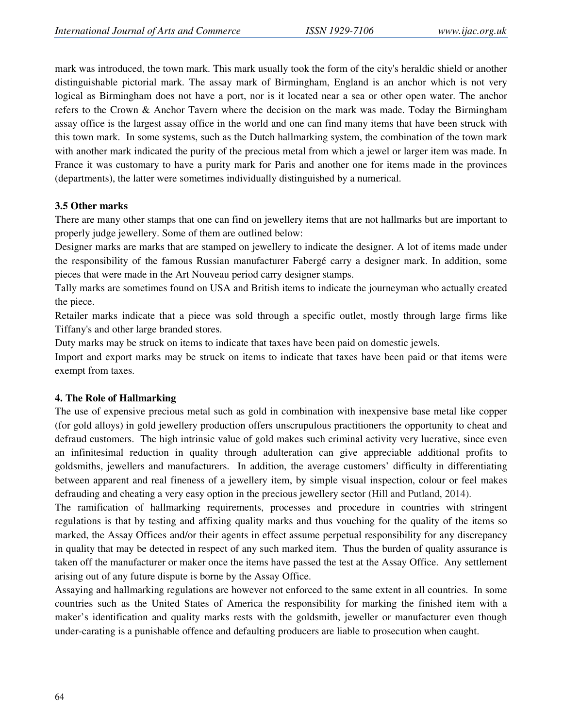mark was introduced, the town mark. This mark usually took the form of the city's heraldic shield or another distinguishable pictorial mark. The assay mark of Birmingham, England is an anchor which is not very logical as Birmingham does not have a port, nor is it located near a sea or other open water. The anchor refers to the Crown & Anchor Tavern where the decision on the mark was made. Today the Birmingham assay office is the largest assay office in the world and one can find many items that have been struck with this town mark. In some systems, such as the Dutch hallmarking system, the combination of the town mark with another mark indicated the purity of the precious metal from which a jewel or larger item was made. In France it was customary to have a purity mark for Paris and another one for items made in the provinces (departments), the latter were sometimes individually distinguished by a numerical.

#### **3.5 Other marks**

There are many other stamps that one can find on jewellery items that are not hallmarks but are important to properly judge jewellery. Some of them are outlined below:

Designer marks are marks that are stamped on jewellery to indicate the designer. A lot of items made under the responsibility of the famous Russian manufacturer Fabergé carry a designer mark. In addition, some pieces that were made in the Art Nouveau period carry designer stamps.

Tally marks are sometimes found on USA and British items to indicate the journeyman who actually created the piece.

Retailer marks indicate that a piece was sold through a specific outlet, mostly through large firms like Tiffany's and other large branded stores.

Duty marks may be struck on items to indicate that taxes have been paid on domestic jewels.

Import and export marks may be struck on items to indicate that taxes have been paid or that items were exempt from taxes.

#### **4. The Role of Hallmarking**

The use of expensive precious metal such as gold in combination with inexpensive base metal like copper (for gold alloys) in gold jewellery production offers unscrupulous practitioners the opportunity to cheat and defraud customers. The high intrinsic value of gold makes such criminal activity very lucrative, since even an infinitesimal reduction in quality through adulteration can give appreciable additional profits to goldsmiths, jewellers and manufacturers. In addition, the average customers' difficulty in differentiating between apparent and real fineness of a jewellery item, by simple visual inspection, colour or feel makes defrauding and cheating a very easy option in the precious jewellery sector (Hill and Putland, 2014).

The ramification of hallmarking requirements, processes and procedure in countries with stringent regulations is that by testing and affixing quality marks and thus vouching for the quality of the items so marked, the Assay Offices and/or their agents in effect assume perpetual responsibility for any discrepancy in quality that may be detected in respect of any such marked item. Thus the burden of quality assurance is taken off the manufacturer or maker once the items have passed the test at the Assay Office. Any settlement arising out of any future dispute is borne by the Assay Office.

Assaying and hallmarking regulations are however not enforced to the same extent in all countries. In some countries such as the United States of America the responsibility for marking the finished item with a maker's identification and quality marks rests with the goldsmith, jeweller or manufacturer even though under-carating is a punishable offence and defaulting producers are liable to prosecution when caught.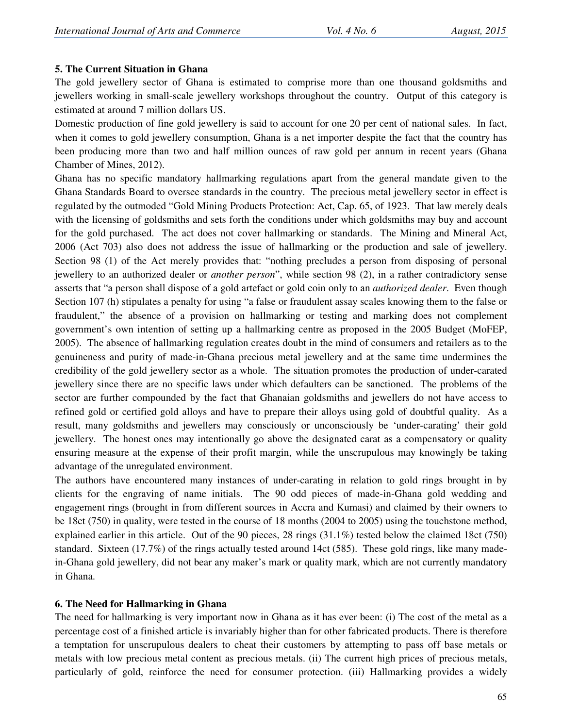## **5. The Current Situation in Ghana**

The gold jewellery sector of Ghana is estimated to comprise more than one thousand goldsmiths and jewellers working in small-scale jewellery workshops throughout the country. Output of this category is estimated at around 7 million dollars US.

Domestic production of fine gold jewellery is said to account for one 20 per cent of national sales. In fact, when it comes to gold jewellery consumption, Ghana is a net importer despite the fact that the country has been producing more than two and half million ounces of raw gold per annum in recent years (Ghana Chamber of Mines, 2012).

Ghana has no specific mandatory hallmarking regulations apart from the general mandate given to the Ghana Standards Board to oversee standards in the country. The precious metal jewellery sector in effect is regulated by the outmoded "Gold Mining Products Protection: Act, Cap. 65, of 1923. That law merely deals with the licensing of goldsmiths and sets forth the conditions under which goldsmiths may buy and account for the gold purchased. The act does not cover hallmarking or standards. The Mining and Mineral Act, 2006 (Act 703) also does not address the issue of hallmarking or the production and sale of jewellery. Section 98 (1) of the Act merely provides that: "nothing precludes a person from disposing of personal jewellery to an authorized dealer or *another person*", while section 98 (2), in a rather contradictory sense asserts that "a person shall dispose of a gold artefact or gold coin only to an *authorized dealer*. Even though Section 107 (h) stipulates a penalty for using "a false or fraudulent assay scales knowing them to the false or fraudulent," the absence of a provision on hallmarking or testing and marking does not complement government's own intention of setting up a hallmarking centre as proposed in the 2005 Budget (MoFEP, 2005). The absence of hallmarking regulation creates doubt in the mind of consumers and retailers as to the genuineness and purity of made-in-Ghana precious metal jewellery and at the same time undermines the credibility of the gold jewellery sector as a whole. The situation promotes the production of under-carated jewellery since there are no specific laws under which defaulters can be sanctioned. The problems of the sector are further compounded by the fact that Ghanaian goldsmiths and jewellers do not have access to refined gold or certified gold alloys and have to prepare their alloys using gold of doubtful quality. As a result, many goldsmiths and jewellers may consciously or unconsciously be 'under-carating' their gold jewellery. The honest ones may intentionally go above the designated carat as a compensatory or quality ensuring measure at the expense of their profit margin, while the unscrupulous may knowingly be taking advantage of the unregulated environment.

The authors have encountered many instances of under-carating in relation to gold rings brought in by clients for the engraving of name initials. The 90 odd pieces of made-in-Ghana gold wedding and engagement rings (brought in from different sources in Accra and Kumasi) and claimed by their owners to be 18ct (750) in quality, were tested in the course of 18 months (2004 to 2005) using the touchstone method, explained earlier in this article. Out of the 90 pieces, 28 rings (31.1%) tested below the claimed 18ct (750) standard. Sixteen (17.7%) of the rings actually tested around 14ct (585). These gold rings, like many madein-Ghana gold jewellery, did not bear any maker's mark or quality mark, which are not currently mandatory in Ghana.

# **6. The Need for Hallmarking in Ghana**

The need for hallmarking is very important now in Ghana as it has ever been: (i) The cost of the metal as a percentage cost of a finished article is invariably higher than for other fabricated products. There is therefore a temptation for unscrupulous dealers to cheat their customers by attempting to pass off base metals or metals with low precious metal content as precious metals. (ii) The current high prices of precious metals, particularly of gold, reinforce the need for consumer protection. (iii) Hallmarking provides a widely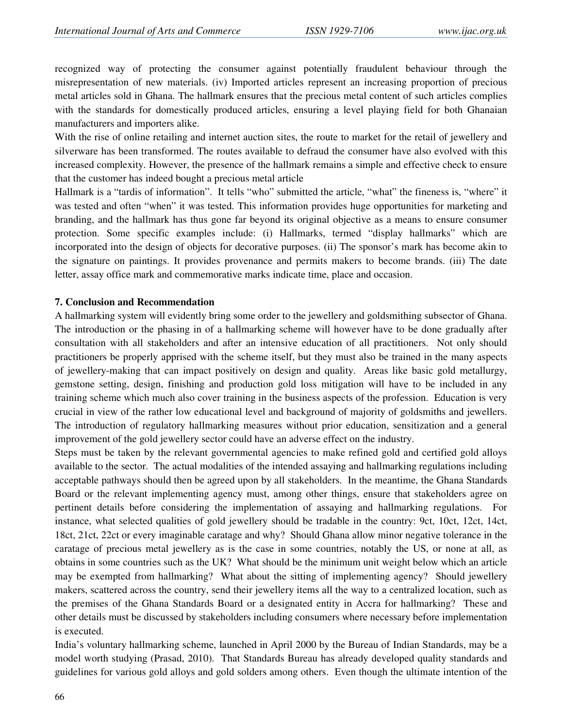recognized way of protecting the consumer against potentially fraudulent behaviour through the misrepresentation of new materials. (iv) Imported articles represent an increasing proportion of precious metal articles sold in Ghana. The hallmark ensures that the precious metal content of such articles complies with the standards for domestically produced articles, ensuring a level playing field for both Ghanaian manufacturers and importers alike.

With the rise of online retailing and internet auction sites, the route to market for the retail of jewellery and silverware has been transformed. The routes available to defraud the consumer have also evolved with this increased complexity. However, the presence of the hallmark remains a simple and effective check to ensure that the customer has indeed bought a precious metal article

Hallmark is a "tardis of information". It tells "who" submitted the article, "what" the fineness is, "where" it was tested and often "when" it was tested. This information provides huge opportunities for marketing and branding, and the hallmark has thus gone far beyond its original objective as a means to ensure consumer protection. Some specific examples include: (i) Hallmarks, termed "display hallmarks" which are incorporated into the design of objects for decorative purposes. (ii) The sponsor's mark has become akin to the signature on paintings. It provides provenance and permits makers to become brands. (iii) The date letter, assay office mark and commemorative marks indicate time, place and occasion.

#### **7. Conclusion and Recommendation**

A hallmarking system will evidently bring some order to the jewellery and goldsmithing subsector of Ghana. The introduction or the phasing in of a hallmarking scheme will however have to be done gradually after consultation with all stakeholders and after an intensive education of all practitioners. Not only should practitioners be properly apprised with the scheme itself, but they must also be trained in the many aspects of jewellery-making that can impact positively on design and quality. Areas like basic gold metallurgy, gemstone setting, design, finishing and production gold loss mitigation will have to be included in any training scheme which much also cover training in the business aspects of the profession. Education is very crucial in view of the rather low educational level and background of majority of goldsmiths and jewellers. The introduction of regulatory hallmarking measures without prior education, sensitization and a general improvement of the gold jewellery sector could have an adverse effect on the industry.

Steps must be taken by the relevant governmental agencies to make refined gold and certified gold alloys available to the sector. The actual modalities of the intended assaying and hallmarking regulations including acceptable pathways should then be agreed upon by all stakeholders. In the meantime, the Ghana Standards Board or the relevant implementing agency must, among other things, ensure that stakeholders agree on pertinent details before considering the implementation of assaying and hallmarking regulations. For instance, what selected qualities of gold jewellery should be tradable in the country: 9ct, 10ct, 12ct, 14ct, 18ct, 21ct, 22ct or every imaginable caratage and why? Should Ghana allow minor negative tolerance in the caratage of precious metal jewellery as is the case in some countries, notably the US, or none at all, as obtains in some countries such as the UK? What should be the minimum unit weight below which an article may be exempted from hallmarking? What about the sitting of implementing agency? Should jewellery makers, scattered across the country, send their jewellery items all the way to a centralized location, such as the premises of the Ghana Standards Board or a designated entity in Accra for hallmarking? These and other details must be discussed by stakeholders including consumers where necessary before implementation is executed.

India's voluntary hallmarking scheme, launched in April 2000 by the Bureau of Indian Standards, may be a model worth studying (Prasad, 2010). That Standards Bureau has already developed quality standards and guidelines for various gold alloys and gold solders among others. Even though the ultimate intention of the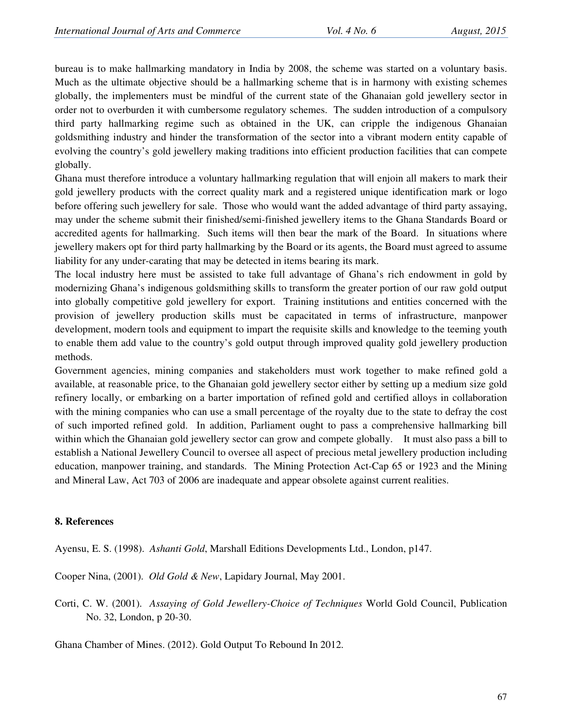bureau is to make hallmarking mandatory in India by 2008, the scheme was started on a voluntary basis. Much as the ultimate objective should be a hallmarking scheme that is in harmony with existing schemes globally, the implementers must be mindful of the current state of the Ghanaian gold jewellery sector in order not to overburden it with cumbersome regulatory schemes. The sudden introduction of a compulsory third party hallmarking regime such as obtained in the UK, can cripple the indigenous Ghanaian goldsmithing industry and hinder the transformation of the sector into a vibrant modern entity capable of evolving the country's gold jewellery making traditions into efficient production facilities that can compete globally.

Ghana must therefore introduce a voluntary hallmarking regulation that will enjoin all makers to mark their gold jewellery products with the correct quality mark and a registered unique identification mark or logo before offering such jewellery for sale. Those who would want the added advantage of third party assaying, may under the scheme submit their finished/semi-finished jewellery items to the Ghana Standards Board or accredited agents for hallmarking. Such items will then bear the mark of the Board. In situations where jewellery makers opt for third party hallmarking by the Board or its agents, the Board must agreed to assume liability for any under-carating that may be detected in items bearing its mark.

The local industry here must be assisted to take full advantage of Ghana's rich endowment in gold by modernizing Ghana's indigenous goldsmithing skills to transform the greater portion of our raw gold output into globally competitive gold jewellery for export. Training institutions and entities concerned with the provision of jewellery production skills must be capacitated in terms of infrastructure, manpower development, modern tools and equipment to impart the requisite skills and knowledge to the teeming youth to enable them add value to the country's gold output through improved quality gold jewellery production methods.

Government agencies, mining companies and stakeholders must work together to make refined gold a available, at reasonable price, to the Ghanaian gold jewellery sector either by setting up a medium size gold refinery locally, or embarking on a barter importation of refined gold and certified alloys in collaboration with the mining companies who can use a small percentage of the royalty due to the state to defray the cost of such imported refined gold. In addition, Parliament ought to pass a comprehensive hallmarking bill within which the Ghanaian gold jewellery sector can grow and compete globally. It must also pass a bill to establish a National Jewellery Council to oversee all aspect of precious metal jewellery production including education, manpower training, and standards. The Mining Protection Act-Cap 65 or 1923 and the Mining and Mineral Law, Act 703 of 2006 are inadequate and appear obsolete against current realities.

## **8. References**

Ayensu, E. S. (1998). *Ashanti Gold*, Marshall Editions Developments Ltd., London, p147.

Cooper Nina, (2001). *Old Gold & New*, Lapidary Journal, May 2001.

Corti, C. W. (2001). *Assaying of Gold Jewellery-Choice of Techniques* World Gold Council, Publication No. 32, London, p 20-30.

Ghana Chamber of Mines. (2012). Gold Output To Rebound In 2012.